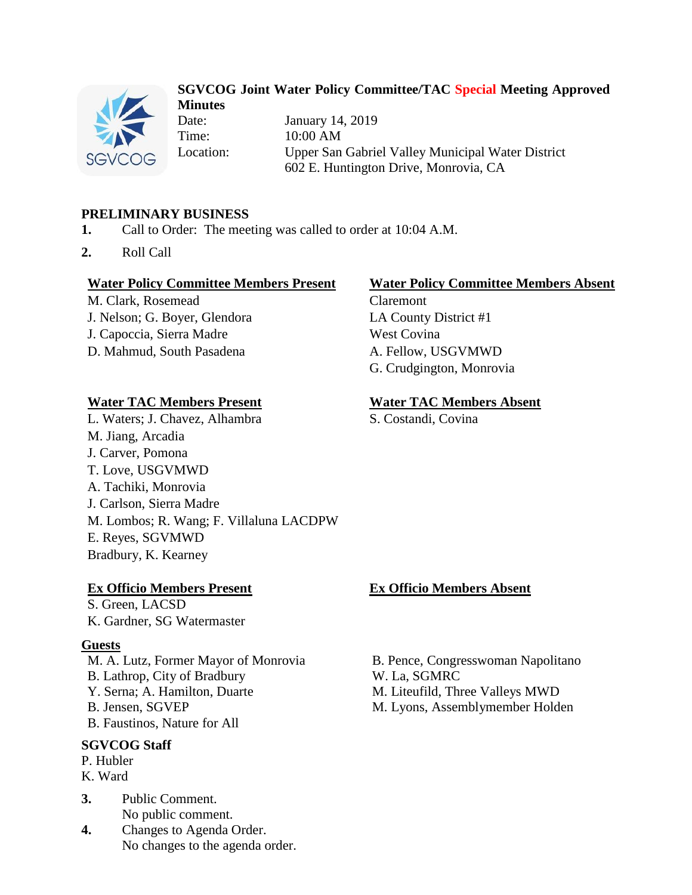

### **SGVCOG Joint Water Policy Committee/TAC Special Meeting Approved Minutes**

Date: January 14, 2019 Time: 10:00 AM Location: Upper San Gabriel Valley Municipal Water District 602 E. Huntington Drive, Monrovia, CA

# **PRELIMINARY BUSINESS**

- **1.** Call to Order: The meeting was called to order at 10:04 A.M.
- **2.** Roll Call

#### **Water Policy Committee Members Present Water Policy Committee Members Absent**

M. Clark, Rosemead Claremont J. Nelson; G. Boyer, Glendora LA County District #1 J. Capoccia, Sierra Madre West Covina

D. Mahmud, South Pasadena A. Fellow, USGVMWD

L. Waters; J. Chavez, Alhambra S. Costandi, Covina M. Jiang, Arcadia J. Carver, Pomona T. Love, USGVMWD A. Tachiki, Monrovia J. Carlson, Sierra Madre M. Lombos; R. Wang; F. Villaluna LACDPW E. Reyes, SGVMWD Bradbury, K. Kearney

#### **Ex Officio Members Present Ex Officio Members Absent**

S. Green, LACSD K. Gardner, SG Watermaster

#### **Guests**

M. A. Lutz, Former Mayor of Monrovia B. Pence, Congresswoman Napolitano B. Lathrop, City of Bradbury W. La, SGMRC Y. Serna; A. Hamilton, Duarte M. Liteufild, Three Valleys MWD B. Jensen, SGVEP M. Lyons, Assemblymember Holden B. Faustinos, Nature for All

## **SGVCOG Staff**

P. Hubler

K. Ward

- **3.** Public Comment. No public comment.
- **4.** Changes to Agenda Order. No changes to the agenda order.

G. Crudgington, Monrovia

### **Water TAC Members Present Water TAC Members Absent**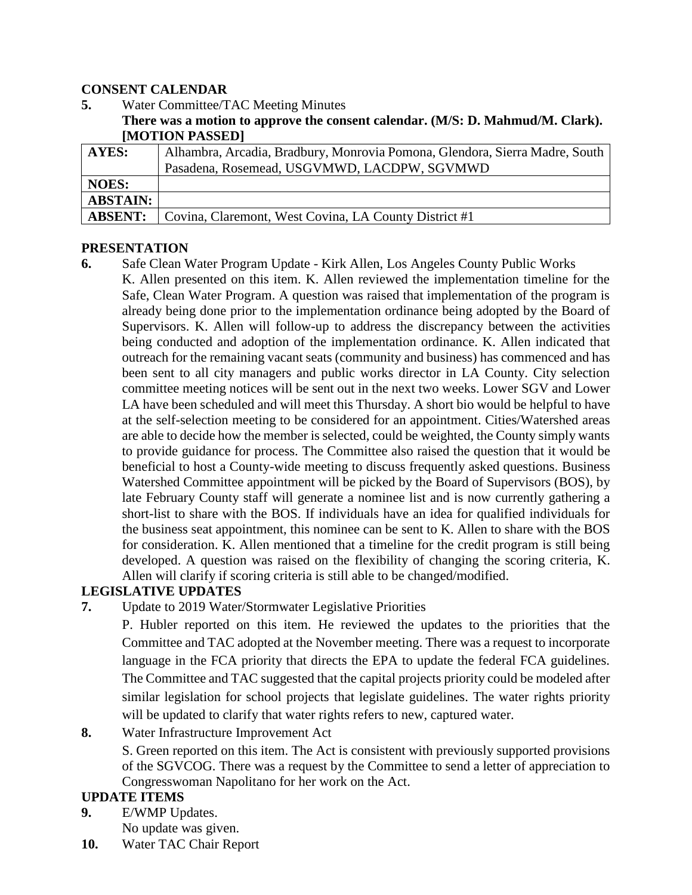### **CONSENT CALENDAR**

- **5.** Water Committee/TAC Meeting Minutes
	- **There was a motion to approve the consent calendar. (M/S: D. Mahmud/M. Clark). [MOTION PASSED]**

| <b>AYES:</b>    | Alhambra, Arcadia, Bradbury, Monrovia Pomona, Glendora, Sierra Madre, South |
|-----------------|-----------------------------------------------------------------------------|
|                 | Pasadena, Rosemead, USGVMWD, LACDPW, SGVMWD                                 |
| <b>NOES:</b>    |                                                                             |
| <b>ABSTAIN:</b> |                                                                             |
| <b>ABSENT:</b>  | Covina, Claremont, West Covina, LA County District #1                       |

### **PRESENTATION**

**6.** Safe Clean Water Program Update - Kirk Allen, Los Angeles County Public Works K. Allen presented on this item. K. Allen reviewed the implementation timeline for the Safe, Clean Water Program. A question was raised that implementation of the program is already being done prior to the implementation ordinance being adopted by the Board of Supervisors. K. Allen will follow-up to address the discrepancy between the activities being conducted and adoption of the implementation ordinance. K. Allen indicated that outreach for the remaining vacant seats (community and business) has commenced and has been sent to all city managers and public works director in LA County. City selection committee meeting notices will be sent out in the next two weeks. Lower SGV and Lower LA have been scheduled and will meet this Thursday. A short bio would be helpful to have at the self-selection meeting to be considered for an appointment. Cities/Watershed areas are able to decide how the member is selected, could be weighted, the County simply wants to provide guidance for process. The Committee also raised the question that it would be beneficial to host a County-wide meeting to discuss frequently asked questions. Business Watershed Committee appointment will be picked by the Board of Supervisors (BOS), by late February County staff will generate a nominee list and is now currently gathering a short-list to share with the BOS. If individuals have an idea for qualified individuals for the business seat appointment, this nominee can be sent to K. Allen to share with the BOS for consideration. K. Allen mentioned that a timeline for the credit program is still being developed. A question was raised on the flexibility of changing the scoring criteria, K. Allen will clarify if scoring criteria is still able to be changed/modified.

# **LEGISLATIVE UPDATES**

**7.** Update to 2019 Water/Stormwater Legislative Priorities

P. Hubler reported on this item. He reviewed the updates to the priorities that the Committee and TAC adopted at the November meeting. There was a request to incorporate language in the FCA priority that directs the EPA to update the federal FCA guidelines. The Committee and TAC suggested that the capital projects priority could be modeled after similar legislation for school projects that legislate guidelines. The water rights priority will be updated to clarify that water rights refers to new, captured water.

**8.** Water Infrastructure Improvement Act

S. Green reported on this item. The Act is consistent with previously supported provisions of the SGVCOG. There was a request by the Committee to send a letter of appreciation to Congresswoman Napolitano for her work on the Act.

## **UPDATE ITEMS**

- **9.** E/WMP Updates. No update was given.
- **10.** Water TAC Chair Report